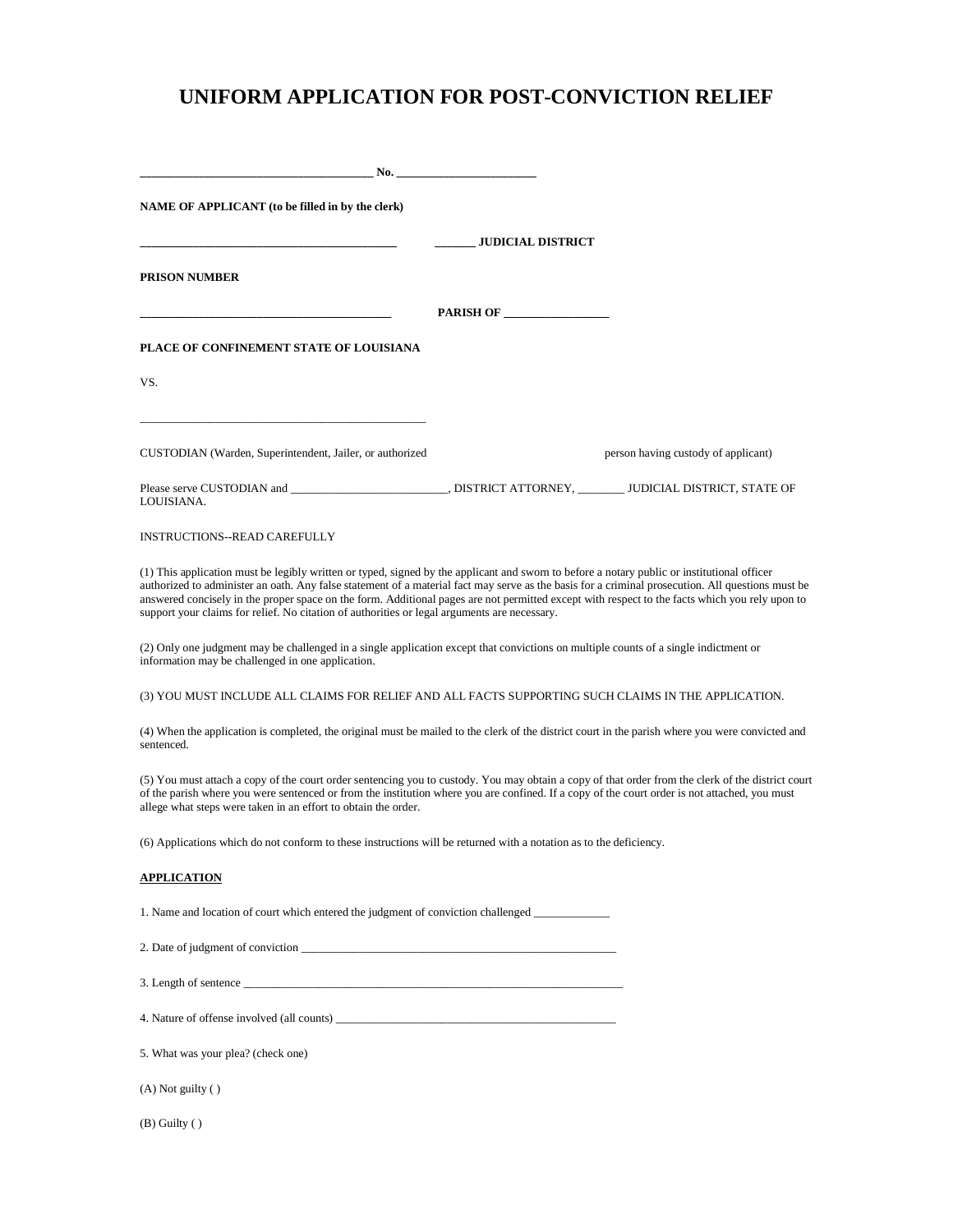# **UNIFORM APPLICATION FOR POST-CONVICTION RELIEF**

| No.                                                                                                                                                                                                                                                                                                                                                                                                                                                                                                                                               |                          |                                     |
|---------------------------------------------------------------------------------------------------------------------------------------------------------------------------------------------------------------------------------------------------------------------------------------------------------------------------------------------------------------------------------------------------------------------------------------------------------------------------------------------------------------------------------------------------|--------------------------|-------------------------------------|
| NAME OF APPLICANT (to be filled in by the clerk)                                                                                                                                                                                                                                                                                                                                                                                                                                                                                                  |                          |                                     |
| <b>PRISON NUMBER</b>                                                                                                                                                                                                                                                                                                                                                                                                                                                                                                                              | <b>JUDICIAL DISTRICT</b> |                                     |
|                                                                                                                                                                                                                                                                                                                                                                                                                                                                                                                                                   | PARISH OF                |                                     |
| PLACE OF CONFINEMENT STATE OF LOUISIANA                                                                                                                                                                                                                                                                                                                                                                                                                                                                                                           |                          |                                     |
| VS.                                                                                                                                                                                                                                                                                                                                                                                                                                                                                                                                               |                          |                                     |
| CUSTODIAN (Warden, Superintendent, Jailer, or authorized                                                                                                                                                                                                                                                                                                                                                                                                                                                                                          |                          | person having custody of applicant) |
| LOUISIANA.                                                                                                                                                                                                                                                                                                                                                                                                                                                                                                                                        |                          |                                     |
| <b>INSTRUCTIONS--READ CAREFULLY</b>                                                                                                                                                                                                                                                                                                                                                                                                                                                                                                               |                          |                                     |
| (1) This application must be legibly written or typed, signed by the applicant and swom to before a notary public or institutional officer<br>authorized to administer an oath. Any false statement of a material fact may serve as the basis for a criminal prosecution. All questions must be<br>answered concisely in the proper space on the form. Additional pages are not permitted except with respect to the facts which you rely upon to<br>support your claims for relief. No citation of authorities or legal arguments are necessary. |                          |                                     |
| (2) Only one judgment may be challenged in a single application except that convictions on multiple counts of a single indictment or<br>information may be challenged in one application.                                                                                                                                                                                                                                                                                                                                                         |                          |                                     |
| (3) YOU MUST INCLUDE ALL CLAIMS FOR RELIEF AND ALL FACTS SUPPORTING SUCH CLAIMS IN THE APPLICATION.                                                                                                                                                                                                                                                                                                                                                                                                                                               |                          |                                     |
| (4) When the application is completed, the original must be mailed to the clerk of the district court in the parish where you were convicted and<br>sentenced.                                                                                                                                                                                                                                                                                                                                                                                    |                          |                                     |
| (5) You must attach a copy of the court order sentencing you to custody. You may obtain a copy of that order from the clerk of the district court<br>of the parish where you were sentenced or from the institution where you are confined. If a copy of the court order is not attached, you must<br>allege what steps were taken in an effort to obtain the order.                                                                                                                                                                              |                          |                                     |
| (6) Applications which do not conform to these instructions will be returned with a notation as to the deficiency.                                                                                                                                                                                                                                                                                                                                                                                                                                |                          |                                     |
| <b>APPLICATION</b>                                                                                                                                                                                                                                                                                                                                                                                                                                                                                                                                |                          |                                     |
| 1. Name and location of court which entered the judgment of conviction challenged                                                                                                                                                                                                                                                                                                                                                                                                                                                                 |                          |                                     |
| 2. Date of judgment of conviction example of the same state of the same state of the same state of conviction                                                                                                                                                                                                                                                                                                                                                                                                                                     |                          |                                     |
|                                                                                                                                                                                                                                                                                                                                                                                                                                                                                                                                                   |                          |                                     |
|                                                                                                                                                                                                                                                                                                                                                                                                                                                                                                                                                   |                          |                                     |
| 5. What was your plea? (check one)                                                                                                                                                                                                                                                                                                                                                                                                                                                                                                                |                          |                                     |
| (A) Not guilty ()                                                                                                                                                                                                                                                                                                                                                                                                                                                                                                                                 |                          |                                     |
| $(B)$ Guilty $( )$                                                                                                                                                                                                                                                                                                                                                                                                                                                                                                                                |                          |                                     |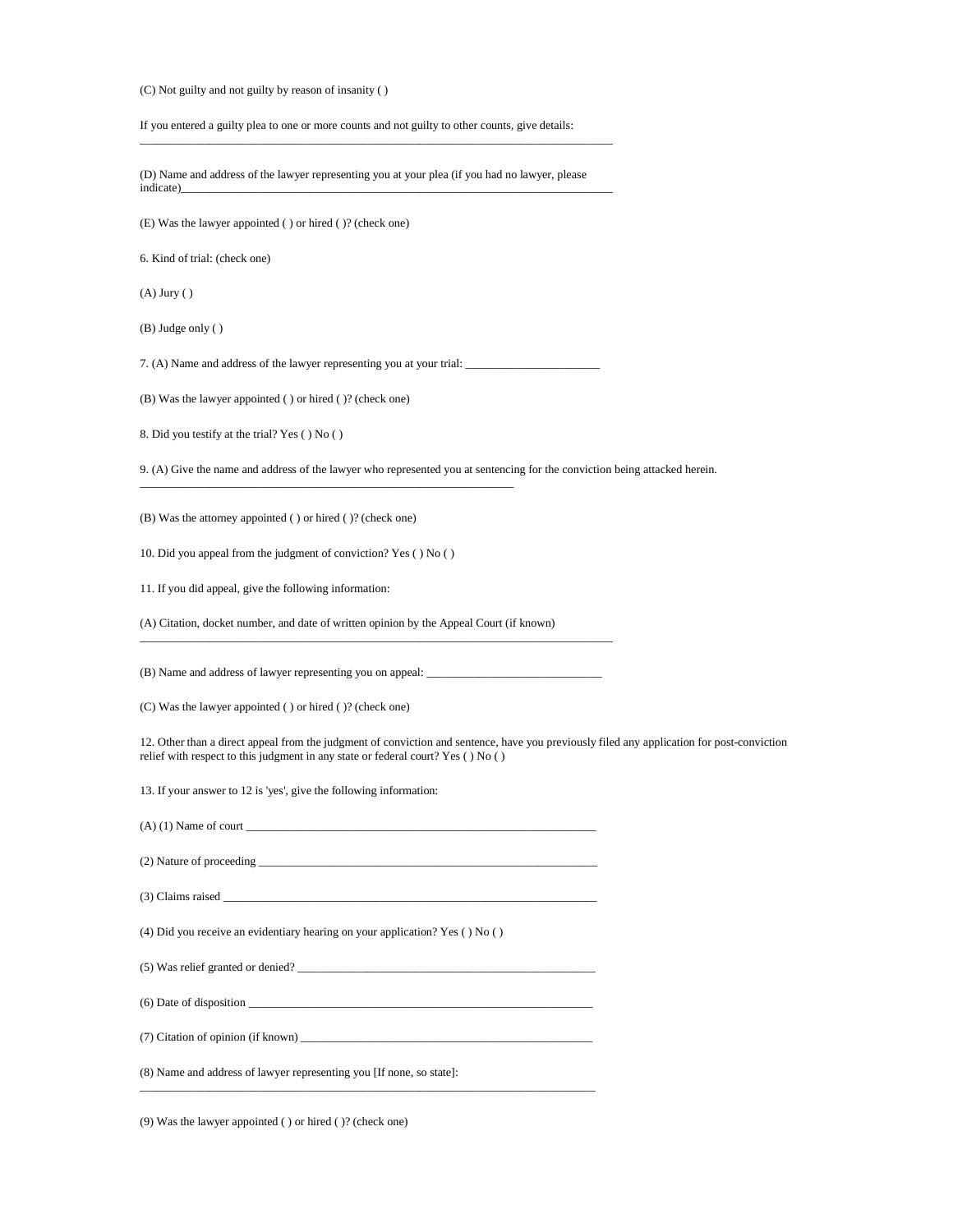(C) Not guilty and not guilty by reason of insanity ( )

If you entered a guilty plea to one or more counts and not guilty to other counts, give details:

(D) Name and address of the lawyer representing you at your plea (if you had no lawyer, please  $indicate)$ 

\_\_\_\_\_\_\_\_\_\_\_\_\_\_\_\_\_\_\_\_\_\_\_\_\_\_\_\_\_\_\_\_\_\_\_\_\_\_\_\_\_\_\_\_\_\_\_\_\_\_\_\_\_\_\_\_\_\_\_\_\_\_\_\_\_\_\_\_\_\_\_\_\_\_\_\_\_\_\_\_\_

(E) Was the lawyer appointed ( ) or hired ( )? (check one)

6. Kind of trial: (check one)

(A) Jury ( )

(B) Judge only ( )

7. (A) Name and address of the lawyer representing you at your trial:

(B) Was the lawyer appointed ( ) or hired ( )? (check one)

8. Did you testify at the trial? Yes ( ) No ( )

9. (A) Give the name and address of the lawyer who represented you at sentencing for the conviction being attacked herein.

(B) Was the attorney appointed ( ) or hired ( )? (check one)

10. Did you appeal from the judgment of conviction? Yes ( ) No ( )

\_\_\_\_\_\_\_\_\_\_\_\_\_\_\_\_\_\_\_\_\_\_\_\_\_\_\_\_\_\_\_\_\_\_\_\_\_\_\_\_\_\_\_\_\_\_\_\_\_\_\_\_\_\_\_\_\_\_\_\_\_\_\_\_

11. If you did appeal, give the following information:

(A) Citation, docket number, and date of written opinion by the Appeal Court (if known)

(B) Name and address of lawyer representing you on appeal: \_\_\_\_\_\_\_\_\_\_\_\_\_\_\_\_\_\_\_\_\_\_

\_\_\_\_\_\_\_\_\_\_\_\_\_\_\_\_\_\_\_\_\_\_\_\_\_\_\_\_\_\_\_\_\_\_\_\_\_\_\_\_\_\_\_\_\_\_\_\_\_\_\_\_\_\_\_\_\_\_\_\_\_\_\_\_\_\_\_\_\_\_\_\_\_\_\_\_\_\_\_\_\_

(C) Was the lawyer appointed ( ) or hired ( )? (check one)

12. Other than a direct appeal from the judgment of conviction and sentence, have you previously filed any application for post-conviction relief with respect to this judgment in any state or federal court? Yes ( ) No ( )

13. If your answer to 12 is 'yes', give the following information:

 $(A)$  (1) Name of court  $\perp$ 

\_\_\_\_\_\_\_\_\_\_\_\_\_\_\_\_\_\_\_\_\_\_\_\_\_\_\_\_\_\_\_\_\_\_\_\_\_\_\_\_\_\_\_\_\_\_\_\_\_\_\_\_\_\_\_\_\_\_\_\_\_\_\_\_\_\_\_\_\_\_\_\_\_\_\_\_\_\_

(2) Nature of proceeding \_\_\_\_\_\_\_\_\_\_\_\_\_\_\_\_\_\_\_\_\_\_\_\_\_\_\_\_\_\_\_\_\_\_\_\_\_\_\_\_\_\_\_\_\_\_\_\_\_\_\_\_\_\_\_\_\_\_

 $(3)$  Claims raised  $\_\_$ 

(4) Did you receive an evidentiary hearing on your application? Yes ( ) No ( )

 $(5)$  Was relief granted or denied?

 $(6)$  Date of disposition  $\_\_$ 

(7) Citation of opinion (if known) \_\_\_\_\_\_\_\_\_\_\_\_\_\_\_\_\_\_\_\_\_\_\_\_\_\_\_\_\_\_\_\_\_\_\_\_\_\_\_\_\_\_\_\_\_\_\_\_\_\_

(8) Name and address of lawyer representing you [If none, so state]:

(9) Was the lawyer appointed ( ) or hired ( )? (check one)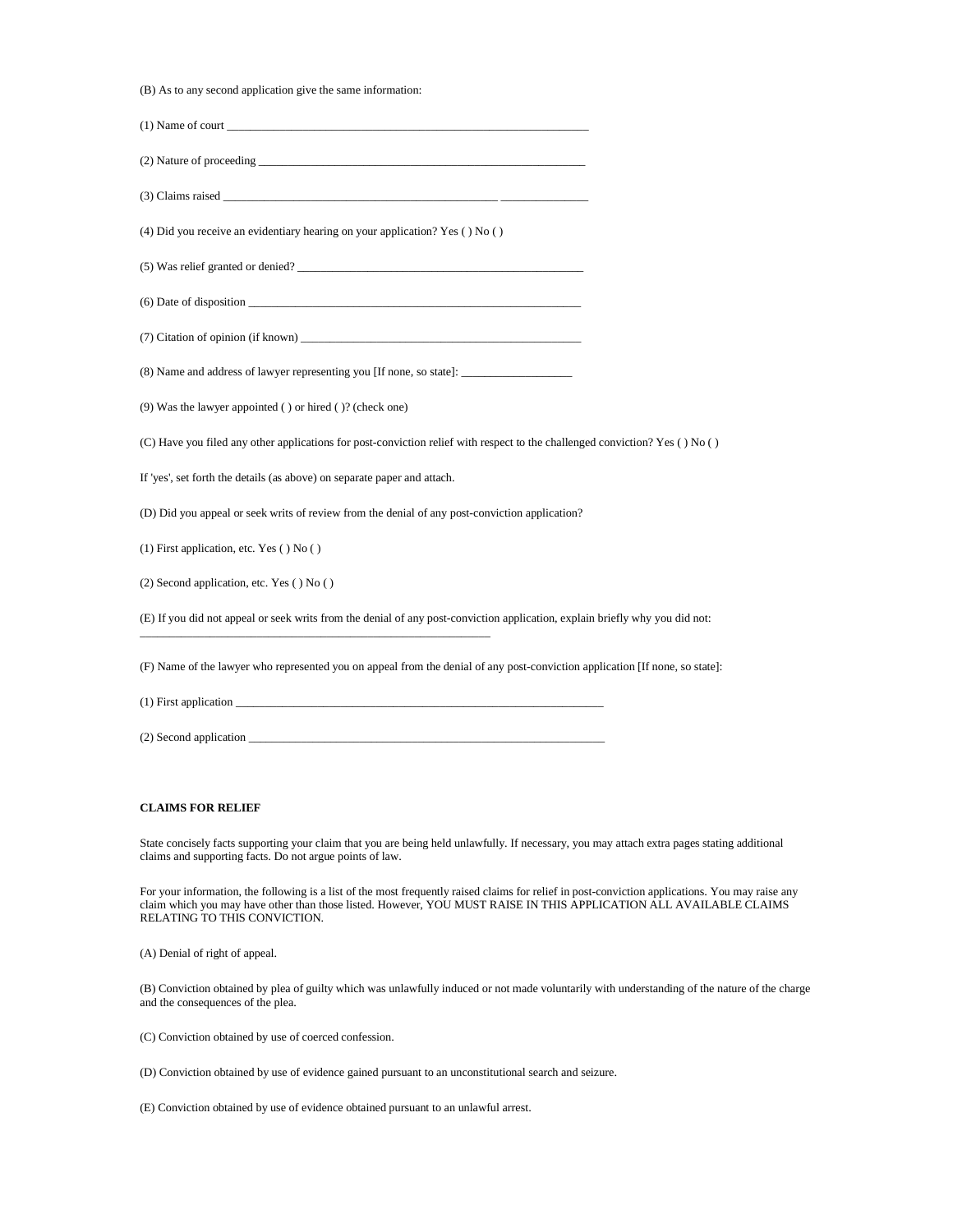(B) As to any second application give the same information:

| (1) Name of court                                                                                                                                                                                                              |  |
|--------------------------------------------------------------------------------------------------------------------------------------------------------------------------------------------------------------------------------|--|
|                                                                                                                                                                                                                                |  |
|                                                                                                                                                                                                                                |  |
| (4) Did you receive an evidentiary hearing on your application? Yes () No ()                                                                                                                                                   |  |
| (5) Was relief granted or denied?                                                                                                                                                                                              |  |
| (6) Date of disposition experience of the set of the set of the set of the set of the set of the set of the set of the set of the set of the set of the set of the set of the set of the set of the set of the set of the set  |  |
|                                                                                                                                                                                                                                |  |
|                                                                                                                                                                                                                                |  |
| (9) Was the lawyer appointed () or hired ()? (check one)                                                                                                                                                                       |  |
| (C) Have you filed any other applications for post-conviction relief with respect to the challenged conviction? Yes () No ()                                                                                                   |  |
| If 'yes', set forth the details (as above) on separate paper and attach.                                                                                                                                                       |  |
| (D) Did you appeal or seek writs of review from the denial of any post-conviction application?                                                                                                                                 |  |
| $(1)$ First application, etc. Yes $( )$ No $( )$                                                                                                                                                                               |  |
| $(2)$ Second application, etc. Yes $( )$ No $( )$                                                                                                                                                                              |  |
| (E) If you did not appeal or seek writs from the denial of any post-conviction application, explain briefly why you did not:                                                                                                   |  |
| (F) Name of the lawyer who represented you on appeal from the denial of any post-conviction application [If none, so state]:                                                                                                   |  |
| (1) First application                                                                                                                                                                                                          |  |
| (2) Second application the contract of the contract of the contract of the contract of the contract of the contract of the contract of the contract of the contract of the contract of the contract of the contract of the con |  |
|                                                                                                                                                                                                                                |  |

## **CLAIMS FOR RELIEF**

State concisely facts supporting your claim that you are being held unlawfully. If necessary, you may attach extra pages stating additional claims and supporting facts. Do not argue points of law.

For your information, the following is a list of the most frequently raised claims for relief in post-conviction applications. You may raise any claim which you may have other than those listed. However, YOU MUST RAISE IN THIS APPLICATION ALL AVAILABLE CLAIMS RELATING TO THIS CONVICTION.

(A) Denial of right of appeal.

(B) Conviction obtained by plea of guilty which was unlawfully induced or not made voluntarily with understanding of the nature of the charge and the consequences of the plea.

(C) Conviction obtained by use of coerced confession.

(D) Conviction obtained by use of evidence gained pursuant to an unconstitutional search and seizure.

(E) Conviction obtained by use of evidence obtained pursuant to an unlawful arrest.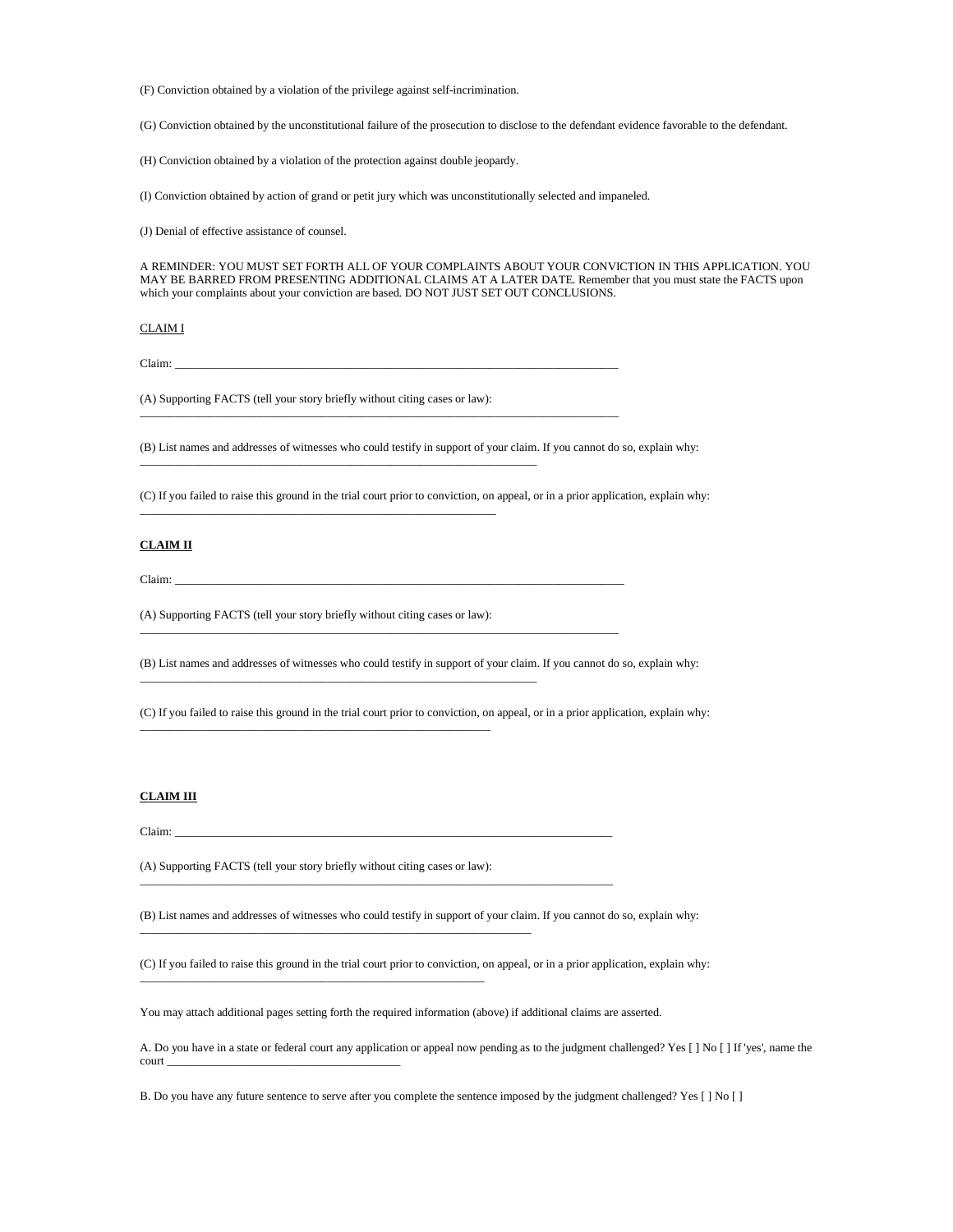(F) Conviction obtained by a violation of the privilege against self-incrimination.

(G) Conviction obtained by the unconstitutional failure of the prosecution to disclose to the defendant evidence favorable to the defendant.

(H) Conviction obtained by a violation of the protection against double jeopardy.

(I) Conviction obtained by action of grand or petit jury which was unconstitutionally selected and impaneled.

(J) Denial of effective assistance of counsel.

A REMINDER: YOU MUST SET FORTH ALL OF YOUR COMPLAINTS ABOUT YOUR CONVICTION IN THIS APPLICATION. YOU MAY BE BARRED FROM PRESENTING ADDITIONAL CLAIMS AT A LATER DATE. Remember that you must state the FACTS upon which your complaints about your conviction are based. DO NOT JUST SET OUT CONCLUSIONS.

#### CLAIM I

Claim: \_\_\_\_\_\_\_\_\_\_\_\_\_\_\_\_\_\_\_\_\_\_\_\_\_\_\_\_\_\_\_\_\_\_\_\_\_\_\_\_\_\_\_\_\_\_\_\_\_\_\_\_\_\_\_\_\_\_\_\_\_\_\_\_\_\_\_\_\_\_\_\_\_\_\_\_

(A) Supporting FACTS (tell your story briefly without citing cases or law):

\_\_\_\_\_\_\_\_\_\_\_\_\_\_\_\_\_\_\_\_\_\_\_\_\_\_\_\_\_\_\_\_\_\_\_\_\_\_\_\_\_\_\_\_\_\_\_\_\_\_\_\_\_\_\_\_\_\_\_\_\_\_\_\_\_\_\_\_

(B) List names and addresses of witnesses who could testify in support of your claim. If you cannot do so, explain why:

\_\_\_\_\_\_\_\_\_\_\_\_\_\_\_\_\_\_\_\_\_\_\_\_\_\_\_\_\_\_\_\_\_\_\_\_\_\_\_\_\_\_\_\_\_\_\_\_\_\_\_\_\_\_\_\_\_\_\_\_\_\_\_\_\_\_\_\_\_\_\_\_\_\_\_\_\_\_\_\_\_\_

\_\_\_\_\_\_\_\_\_\_\_\_\_\_\_\_\_\_\_\_\_\_\_\_\_\_\_\_\_\_\_\_\_\_\_\_\_\_\_\_\_\_\_\_\_\_\_\_\_\_\_\_\_\_\_\_\_\_\_\_\_\_\_\_\_\_\_\_\_\_\_\_\_\_\_\_\_\_\_\_\_\_

(C) If you failed to raise this ground in the trial court prior to conviction, on appeal, or in a prior application, explain why:

### **CLAIM II**

Claim: \_\_\_\_\_\_\_\_\_\_\_\_\_\_\_\_\_\_\_\_\_\_\_\_\_\_\_\_\_\_\_\_\_\_\_\_\_\_\_\_\_\_\_\_\_\_\_\_\_\_\_\_\_\_\_\_\_\_\_\_\_\_\_\_\_\_\_\_\_\_\_\_\_\_\_\_\_

(A) Supporting FACTS (tell your story briefly without citing cases or law):

\_\_\_\_\_\_\_\_\_\_\_\_\_\_\_\_\_\_\_\_\_\_\_\_\_\_\_\_\_\_\_\_\_\_\_\_\_\_\_\_\_\_\_\_\_\_\_\_\_\_\_\_\_\_\_\_\_\_\_\_

\_\_\_\_\_\_\_\_\_\_\_\_\_\_\_\_\_\_\_\_\_\_\_\_\_\_\_\_\_\_\_\_\_\_\_\_\_\_\_\_\_\_\_\_\_\_\_\_\_\_\_\_\_\_\_\_\_\_\_\_\_\_\_\_\_\_\_\_

\_\_\_\_\_\_\_\_\_\_\_\_\_\_\_\_\_\_\_\_\_\_\_\_\_\_\_\_\_\_\_\_\_\_\_\_\_\_\_\_\_\_\_\_\_\_\_\_\_\_\_\_\_\_\_\_\_\_\_\_\_

(B) List names and addresses of witnesses who could testify in support of your claim. If you cannot do so, explain why:

(C) If you failed to raise this ground in the trial court prior to conviction, on appeal, or in a prior application, explain why:

## **CLAIM III**

Claim: \_\_\_\_\_\_\_\_\_\_\_\_\_\_\_\_\_\_\_\_\_\_\_\_\_\_\_\_\_\_\_\_\_\_\_\_\_\_\_\_\_\_\_\_\_\_\_\_\_\_\_\_\_\_\_\_\_\_\_\_\_\_\_\_\_\_\_\_\_\_\_\_\_\_\_

(A) Supporting FACTS (tell your story briefly without citing cases or law):

\_\_\_\_\_\_\_\_\_\_\_\_\_\_\_\_\_\_\_\_\_\_\_\_\_\_\_\_\_\_\_\_\_\_\_\_\_\_\_\_\_\_\_\_\_\_\_\_\_\_\_\_\_\_\_\_\_\_\_

\_\_\_\_\_\_\_\_\_\_\_\_\_\_\_\_\_\_\_\_\_\_\_\_\_\_\_\_\_\_\_\_\_\_\_\_\_\_\_\_\_\_\_\_\_\_\_\_\_\_\_\_\_\_\_\_\_\_\_\_\_\_\_\_\_\_\_

(B) List names and addresses of witnesses who could testify in support of your claim. If you cannot do so, explain why:

(C) If you failed to raise this ground in the trial court prior to conviction, on appeal, or in a prior application, explain why:

You may attach additional pages setting forth the required information (above) if additional claims are asserted.

\_\_\_\_\_\_\_\_\_\_\_\_\_\_\_\_\_\_\_\_\_\_\_\_\_\_\_\_\_\_\_\_\_\_\_\_\_\_\_\_\_\_\_\_\_\_\_\_\_\_\_\_\_\_\_\_\_\_\_\_\_\_\_\_\_\_\_\_\_\_\_\_\_\_\_\_\_\_\_\_\_

A. Do you have in a state or federal court any application or appeal now pending as to the judgment challenged? Yes [ ] No [ ] If 'yes', name the court\_

B. Do you have any future sentence to serve after you complete the sentence imposed by the judgment challenged? Yes [ ] No [ ]